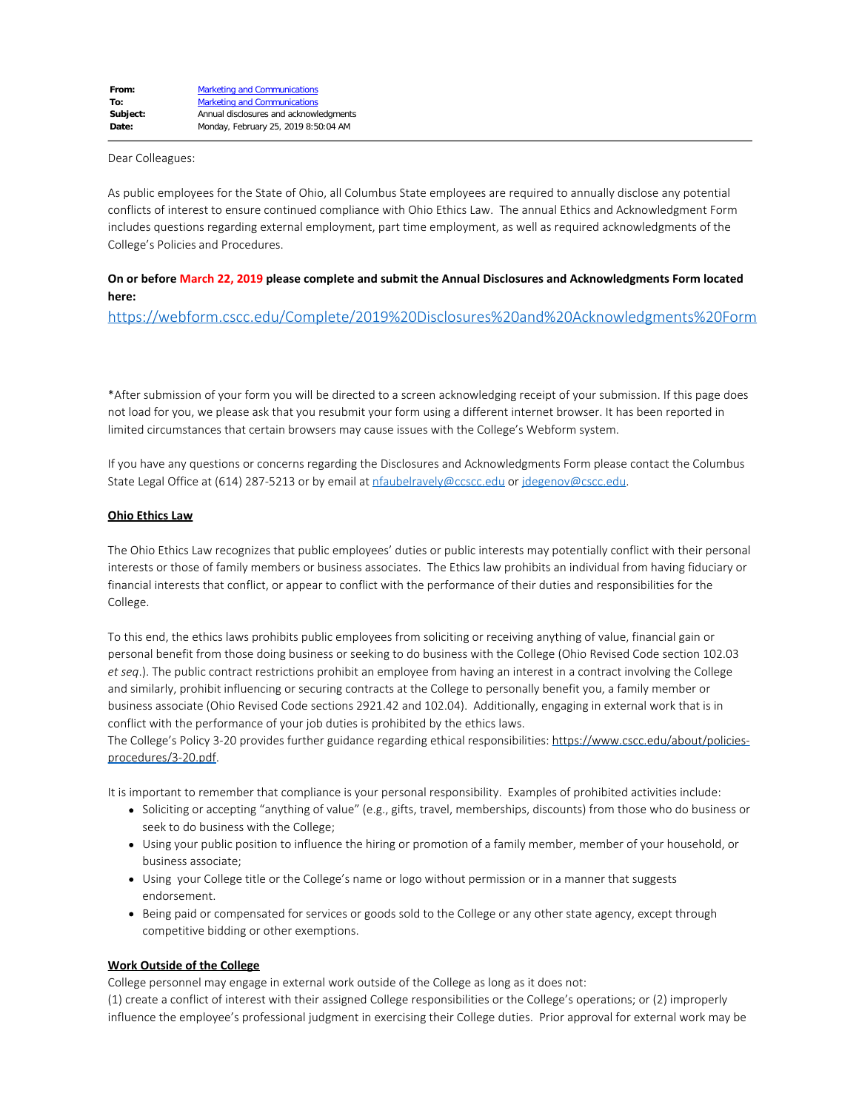Dear Colleagues:

As public employees for the State of Ohio, all Columbus State employees are required to annually disclose any potential conflicts of interest to ensure continued compliance with Ohio Ethics Law. The annual Ethics and Acknowledgment Form includes questions regarding external employment, part time employment, as well as required acknowledgments of the College's Policies and Procedures.

# **On or before March 22, 2019 please complete and submit the Annual Disclosures and Acknowledgments Form located here:**

<https://webform.cscc.edu/Complete/2019%20Disclosures%20and%20Acknowledgments%20Form>

\*After submission of your form you will be directed to a screen acknowledging receipt of your submission. If this page does not load for you, we please ask that you resubmit your form using a different internet browser. It has been reported in limited circumstances that certain browsers may cause issues with the College's Webform system.

If you have any questions or concerns regarding the Disclosures and Acknowledgments Form please contact the Columbus State Legal Office at (614) 287-5213 or by email at [nfaubelravely@ccscc.edu](mailto:nfaubelravely@ccscc.edu) or [jdegenov@cscc.edu](mailto:jdegenov@cscc.edu).

### **Ohio Ethics Law**

The Ohio Ethics Law recognizes that public employees' duties or public interests may potentially conflict with their personal interests or those of family members or business associates. The Ethics law prohibits an individual from having fiduciary or financial interests that conflict, or appear to conflict with the performance of their duties and responsibilities for the College.

To this end, the ethics laws prohibits public employees from soliciting or receiving anything of value, financial gain or personal benefit from those doing business or seeking to do business with the College (Ohio Revised Code section 102.03 *et seq*.). The public contract restrictions prohibit an employee from having an interest in a contract involving the College and similarly, prohibit influencing or securing contracts at the College to personally benefit you, a family member or business associate (Ohio Revised Code sections 2921.42 and 102.04). Additionally, engaging in external work that is in conflict with the performance of your job duties is prohibited by the ethics laws.

The College's Policy 3-20 provides further guidance regarding ethical responsibilities: [https://www.cscc.edu/about/policies](https://www.cscc.edu/about/policies-procedures/3-20.pdf)[procedures/3-20.pdf](https://www.cscc.edu/about/policies-procedures/3-20.pdf).

It is important to remember that compliance is your personal responsibility. Examples of prohibited activities include:

- Soliciting or accepting "anything of value" (e.g., gifts, travel, memberships, discounts) from those who do business or seek to do business with the College;
- Using your public position to influence the hiring or promotion of a family member, member of your household, or business associate;
- Using your College title or the College's name or logo without permission or in a manner that suggests endorsement.
- Being paid or compensated for services or goods sold to the College or any other state agency, except through competitive bidding or other exemptions.

## **Work Outside of the College**

College personnel may engage in external work outside of the College as long as it does not:

(1) create a conflict of interest with their assigned College responsibilities or the College's operations; or (2) improperly influence the employee's professional judgment in exercising their College duties. Prior approval for external work may be